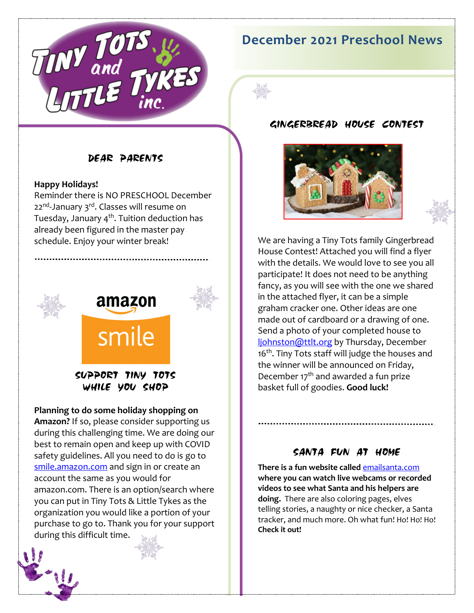

# **December 2021 Preschool News**



#### **Happy Holidays!**

Reminder there is NO PRESCHOOL December 22<sup>nd</sup>-January 3<sup>rd</sup>. Classes will resume on Tuesday, January 4<sup>th</sup>. Tuition deduction has already been figured in the master pay schedule. Enjoy your winter break!





## SUPPORT TINY TOTS WHILE YOU SHOP

amazon

smile

#### **Planning to do some holiday shopping on**

**Amazon?** If so, please consider supporting us during this challenging time. We are doing our best to remain open and keep up with COVID safety guidelines. All you need to do is go to [smile.amazon.com](https://smile.amazon.com/ap/signin?_encoding=UTF8&openid.assoc_handle=amzn_smile&openid.claimed_id=http%3A%2F%2Fspecs.openid.net%2Fauth%2F2.0%2Fidentifier_select&openid.identity=http%3A%2F%2Fspecs.openid.net%2Fauth%2F2.0%2Fidentifier_select&openid.mode=checkid_setup&openid.ns=http%3A%2F%2Fspecs.openid.net%2Fauth%2F2.0&openid.ns.pape=http%3A%2F%2Fspecs.openid.net%2Fextensions%2Fpape%2F1.0&openid.pape.max_auth_age=0&openid.return_to=https%3A%2F%2Fsmile.amazon.com%2Fgp%2Fcharity%2Fhomepage.html%3Fie%3DUTF8%26%252AVersion%252A%3D1%26%252Aentries%252A%3D0%26newts%3D1%26ref_%3Dsmi_chpf_redirect) and sign in or create an account the same as you would for amazon.com. There is an option/search where you can put in Tiny Tots & Little Tykes as the organization you would like a portion of your purchase to go to. Thank you for your support during this difficult time.





#### GINGERBREAD HOUSE CONTEST





We are having a Tiny Tots family Gingerbread House Contest! Attached you will find a flyer with the details. We would love to see you all participate! It does not need to be anything fancy, as you will see with the one we shared in the attached flyer, it can be a simple graham cracker one. Other ideas are one made out of cardboard or a drawing of one. Send a photo of your completed house to [ljohnston@ttlt.org](mailto:ljohnston@ttlt.org) by Thursday, December 16<sup>th</sup>. Tiny Tots staff will judge the houses and the winner will be announced on Friday, December  $17<sup>th</sup>$  and awarded a fun prize basket full of goodies. **Good luck!**

### SANTA FUN AT HOME

**There is a fun website called** [emailsanta.com](https://www.emailsanta.com/) **where you can watch live webcams or recorded videos to see what Santa and his helpers are doing.** There are also coloring pages, elves telling stories, a naughty or nice checker, a Santa tracker, and much more. Oh what fun! Ho! Ho! Ho! **Check it out!**